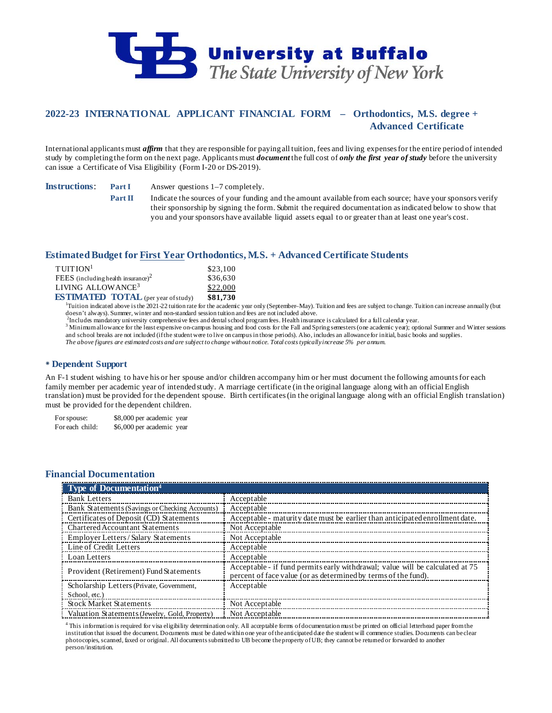

# **2022-23 INTERNATIONAL APPLICANT FINANCIAL FORM – Orthodontics, M.S. degree + Advanced Certificate**

International applicants must *affirm* that they are responsible for paying all tuition, fees and living expenses for the entire period of intended study by completing the form on the next page. Applicants must *document* the full cost of *only the first year of study* before the university can issue a Certificate of Visa Eligibility (Form I-20 or DS-2019).

**Instructions**: **Part I** Answer questions 1–7 completely.

**Part II** Indicate the sources of your funding and the amount available from each source; have your sponsors verify their sponsorship by signing the form. Submit the required documentation as indicated below to show that you and your sponsors have available liquid assets equal to or greater than at least one year's cost.

## **Estimated Budget for First Year Orthodontics, M.S. + Advanced Certificate Students**

| $T$ UITION <sup>1</sup>                        | \$23,100 |
|------------------------------------------------|----------|
| FEES (including health insurance) <sup>2</sup> | \$36,630 |
| LIVING ALLOWANCE <sup>3</sup>                  | \$22,000 |
| <b>ESTIMATED TOTAL</b> (per year of study)     | \$81.730 |

**ESTIMATED TOTAL** (per year of study) \$81,730<br><sup>1</sup>Tuition indicated above is the 2021-22 tuition rate for the academic year only (September–May). Tuition and fees are subject to change. Tuition can increase annually (but doesn't always). Summer, winter and non-standard session tuition and fees are not included above.<br><sup>2</sup>Includes mandatory university comprehensive fees and dental school program fees. Health insurance is calculated for a ful

3 Minimum allowance for the least expensive on-campus housing and food costs for the Fall and Spring semesters (one academic year); optional Summer and Winter sessions and school breaks are not included (if the student were to live on campus in those periods). Also, includes an allowance for initial, basic books and supplies. *The above figures are estimated costs and are subject to change without notice. Total costs typically increase 5% per annum.*

## **Dependent Support**

An F-1 student wishing to have his or her spouse and/or children accompany him or her must document the following amounts for each family member per academic year of intended study. A marriage certificate (in the original language along with an official English translation) must be provided for the dependent spouse. Birth certificates (in the original language along with an official English translation) must be provided for the dependent children.

For spouse: \$8,000 per academic year For each child: \$6,000 per academic year

## **Financial Documentation**

| <b>Type of Documentation</b> <sup>4</sup>      |                                                                                                                                                 |
|------------------------------------------------|-------------------------------------------------------------------------------------------------------------------------------------------------|
| <b>Bank Letters</b>                            | Acceptable                                                                                                                                      |
| Bank Statements (Savings or Checking Accounts) | Acceptable                                                                                                                                      |
| Certificates of Deposit (CD) Statements        | Acceptable - maturity date must be earlier than anticipated enrollment date.                                                                    |
| <b>Chartered Accountant Statements</b>         | Not Acceptable                                                                                                                                  |
| Employer Letters/Salary Statements             | Not Acceptable                                                                                                                                  |
| Line of Credit Letters                         | Acceptable                                                                                                                                      |
| Loan Letters                                   | Acceptable                                                                                                                                      |
| Provident (Retirement) Fund Statements         | Acceptable - if fund permits early withdrawal; value will be calculated at 75<br>percent of face value (or as determined by terms of the fund). |
| Scholarship Letters (Private, Government,      | Acceptable                                                                                                                                      |
| School, etc.)                                  |                                                                                                                                                 |
| <b>Stock Market Statements</b>                 | Not Acceptable                                                                                                                                  |
| Valuation Statements (Jewelry, Gold, Property) | Not Acceptable                                                                                                                                  |

<sup>4</sup> This information is required for visa eligibility determination only. All acceptable forms of documentation must be printed on official letterhead paper from the institution that issued the document. Documents must be dated within one year of the anticipated date the student will commence studies. Documents can be clear photocopies, scanned, faxed or original. All documents submitted to UB become the property of UB; they cannot be returned or forwarded to another person/institution.